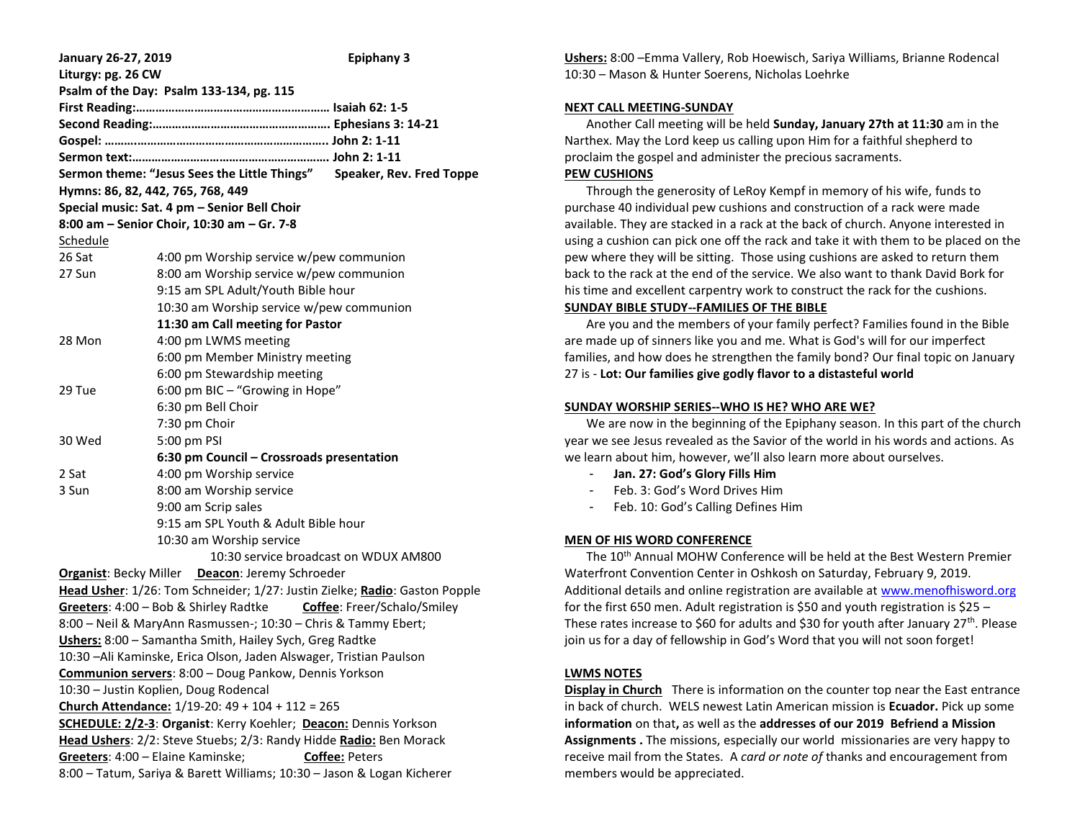| <b>January 26-27, 2019</b>                                                        |                                           | <b>Epiphany 3</b> |
|-----------------------------------------------------------------------------------|-------------------------------------------|-------------------|
| Liturgy: pg. 26 CW                                                                |                                           |                   |
| Psalm of the Day: Psalm 133-134, pg. 115                                          |                                           |                   |
|                                                                                   |                                           |                   |
|                                                                                   |                                           |                   |
|                                                                                   |                                           |                   |
|                                                                                   |                                           |                   |
| Sermon theme: "Jesus Sees the Little Things" Speaker, Rev. Fred Toppe             |                                           |                   |
| Hymns: 86, 82, 442, 765, 768, 449<br>Special music: Sat. 4 pm - Senior Bell Choir |                                           |                   |
| 8:00 am - Senior Choir, 10:30 am - Gr. 7-8                                        |                                           |                   |
| Schedule                                                                          |                                           |                   |
| 26 Sat                                                                            | 4:00 pm Worship service w/pew communion   |                   |
| 27 Sun                                                                            | 8:00 am Worship service w/pew communion   |                   |
|                                                                                   | 9:15 am SPL Adult/Youth Bible hour        |                   |
|                                                                                   | 10:30 am Worship service w/pew communion  |                   |
|                                                                                   | 11:30 am Call meeting for Pastor          |                   |
| 28 Mon                                                                            | 4:00 pm LWMS meeting                      |                   |
|                                                                                   | 6:00 pm Member Ministry meeting           |                   |
|                                                                                   | 6:00 pm Stewardship meeting               |                   |
| 29 Tue                                                                            | 6:00 pm BIC - "Growing in Hope"           |                   |
|                                                                                   | 6:30 pm Bell Choir                        |                   |
|                                                                                   | 7:30 pm Choir                             |                   |
| 30 Wed                                                                            | 5:00 pm PSI                               |                   |
|                                                                                   | 6:30 pm Council – Crossroads presentation |                   |
| 2 Sat                                                                             | 4:00 pm Worship service                   |                   |
| 3 Sun                                                                             | 8:00 am Worship service                   |                   |
|                                                                                   | 9:00 am Scrip sales                       |                   |
|                                                                                   | 9:15 am SPL Youth & Adult Bible hour      |                   |
|                                                                                   | 10:30 am Worship service                  |                   |
| 10:30 service broadcast on WDUX AM800                                             |                                           |                   |
| Organist: Becky Miller Deacon: Jeremy Schroeder                                   |                                           |                   |
| Head Usher: 1/26: Tom Schneider; 1/27: Justin Zielke; Radio: Gaston Popple        |                                           |                   |
| Greeters: 4:00 - Bob & Shirley Radtke Coffee: Freer/Schalo/Smiley                 |                                           |                   |
| 8:00 - Neil & MaryAnn Rasmussen-; 10:30 - Chris & Tammy Ebert;                    |                                           |                   |
| Ushers: 8:00 - Samantha Smith, Hailey Sych, Greg Radtke                           |                                           |                   |
| 10:30 - Ali Kaminske, Erica Olson, Jaden Alswager, Tristian Paulson               |                                           |                   |
| Communion servers: 8:00 - Doug Pankow, Dennis Yorkson                             |                                           |                   |
| 10:30 - Justin Koplien, Doug Rodencal                                             |                                           |                   |
| Church Attendance: 1/19-20: 49 + 104 + 112 = 265                                  |                                           |                   |
| SCHEDULE: 2/2-3: Organist: Kerry Koehler; Deacon: Dennis Yorkson                  |                                           |                   |
| Head Ushers: 2/2: Steve Stuebs; 2/3: Randy Hidde Radio: Ben Morack                |                                           |                   |
| Greeters: 4:00 - Elaine Kaminske;<br><b>Coffee: Peters</b>                        |                                           |                   |
| 8:00 - Tatum, Sariya & Barett Williams; 10:30 - Jason & Logan Kicherer            |                                           |                   |

**Ushers:** 8:00 –Emma Vallery, Rob Hoewisch, Sariya Williams, Brianne Rodencal 10:30 – Mason & Hunter Soerens, Nicholas Loehrke

#### **NEXT CALL MEETING-SUNDAY**

 Another Call meeting will be held **Sunday, January 27th at 11:30** am in the Narthex. May the Lord keep us calling upon Him for a faithful shepherd to proclaim the gospel and administer the precious sacraments.

# **PEW CUSHIONS**

Through the generosity of LeRoy Kempf in memory of his wife, funds to purchase 40 individual pew cushions and construction of a rack were made available. They are stacked in a rack at the back of church. Anyone interested in using a cushion can pick one off the rack and take it with them to be placed on the pew where they will be sitting. Those using cushions are asked to return them back to the rack at the end of the service. We also want to thank David Bork for his time and excellent carpentry work to construct the rack for the cushions.

# **SUNDAY BIBLE STUDY--FAMILIES OF THE BIBLE**

 Are you and the members of your family perfect? Families found in the Bible are made up of sinners like you and me. What is God's will for our imperfect families, and how does he strengthen the family bond? Our final topic on January 27 is - **Lot: Our families give godly flavor to a distasteful world**

### **SUNDAY WORSHIP SERIES--WHO IS HE? WHO ARE WE?**

 We are now in the beginning of the Epiphany season. In this part of the church year we see Jesus revealed as the Savior of the world in his words and actions. As we learn about him, however, we'll also learn more about ourselves.

- **Jan. 27: God's Glory Fills Him**
- Feb. 3: God's Word Drives Him
- Feb. 10: God's Calling Defines Him

# **MEN OF HIS WORD CONFERENCE**

The 10<sup>th</sup> Annual MOHW Conference will be held at the Best Western Premier Waterfront Convention Center in Oshkosh on Saturday, February 9, 2019. Additional details and online registration are available at [www.menofhisword.org](http://www.menofhisword.org/) for the first 650 men. Adult registration is \$50 and youth registration is \$25 – These rates increase to \$60 for adults and \$30 for youth after January  $27^{th}$ . Please join us for a day of fellowship in God's Word that you will not soon forget!

### **LWMS NOTES**

**Display in Church** There is information on the counter top near the East entrance in back of church. WELS newest Latin American mission is **Ecuador.** Pick up some **information** on that**,** as well as the **addresses of our 2019 Befriend a Mission Assignments .** The missions, especially our world missionaries are very happy to receive mail from the States. A *card or note of* thanks and encouragement from members would be appreciated.